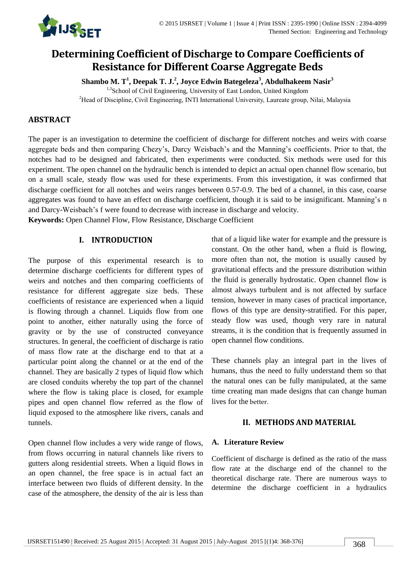

# **Determining Coefficient of Discharge to Compare Coefficients of Resistance for Different Coarse Aggregate Beds**

**Shambo M. T<sup>1</sup> , Deepak T. J.<sup>2</sup> , Joyce Edwin Bategeleza<sup>3</sup> , Abdulhakeem Nasir<sup>3</sup>**

<sup>1,3</sup>School of Civil Engineering, University of East London, United Kingdom <sup>2</sup>Head of Discipline, Civil Engineering, INTI International University, Laureate group, Nilai, Malaysia

## **ABSTRACT**

The paper is an investigation to determine the coefficient of discharge for different notches and weirs with coarse aggregate beds and then comparing Chezy's, Darcy Weisbach's and the Manning's coefficients. Prior to that, the notches had to be designed and fabricated, then experiments were conducted. Six methods were used for this experiment. The open channel on the hydraulic bench is intended to depict an actual open channel flow scenario, but on a small scale, steady flow was used for these experiments. From this investigation, it was confirmed that discharge coefficient for all notches and weirs ranges between 0.57-0.9. The bed of a channel, in this case, coarse aggregates was found to have an effect on discharge coefficient, though it is said to be insignificant. Manning's n and Darcy-Weisbach's f were found to decrease with increase in discharge and velocity.

**Keywords:** Open Channel Flow, Flow Resistance, Discharge Coefficient

## **I. INTRODUCTION**

The purpose of this experimental research is to determine discharge coefficients for different types of weirs and notches and then comparing coefficients of resistance for different aggregate size beds. These coefficients of resistance are experienced when a liquid is flowing through a channel. Liquids flow from one point to another, either naturally using the force of gravity or by the use of constructed conveyance structures. In general, the coefficient of discharge is ratio of mass flow rate at the discharge end to that at a particular point along the channel or at the end of the channel. They are basically 2 types of liquid flow which are closed conduits whereby the top part of the channel where the flow is taking place is closed, for example pipes and open channel flow referred as the flow of liquid exposed to the atmosphere like rivers, canals and tunnels.

Open channel flow includes a very wide range of flows, from flows occurring in natural channels like rivers to gutters along residential streets. When a liquid flows in an open channel, the free space is in actual fact an interface between two fluids of different density. In the case of the atmosphere, the density of the air is less than that of a liquid like water for example and the pressure is constant. On the other hand, when a fluid is flowing, more often than not, the motion is usually caused by gravitational effects and the pressure distribution within the fluid is generally hydrostatic. Open channel flow is almost always turbulent and is not affected by surface tension, however in many cases of practical importance, flows of this type are density-stratified. For this paper, steady flow was used, though very rare in natural streams, it is the condition that is frequently assumed in open channel flow conditions.

These channels play an integral part in the lives of humans, thus the need to fully understand them so that the natural ones can be fully manipulated, at the same time creating man made designs that can change human lives for the better.

## **II. METHODS AND MATERIAL**

#### **A. Literature Review**

Coefficient of discharge is defined as the ratio of the mass flow rate at the discharge end of the channel to the theoretical discharge rate. There are numerous ways to determine the discharge coefficient in a hydraulics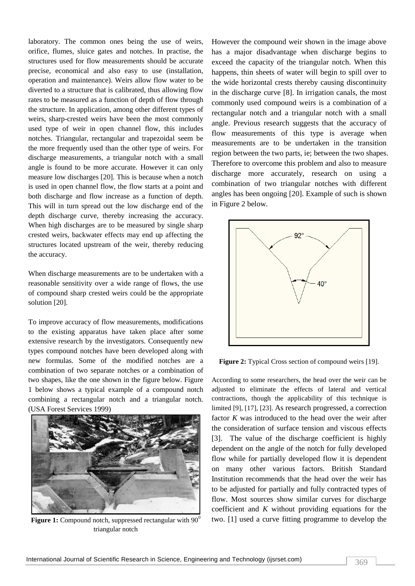laboratory. The common ones being the use of weirs, orifice, flumes, sluice gates and notches. In practise, the structures used for flow measurements should be accurate precise, economical and also easy to use (installation, operation and maintenance). Weirs allow flow water to be diverted to a structure that is calibrated, thus allowing flow rates to be measured as a function of depth of flow through the structure. In application, among other different types of weirs, sharp-crested weirs have been the most commonly used type of weir in open channel flow, this includes notches. Triangular, rectangular and trapezoidal seem be the more frequently used than the other type of weirs. For discharge measurements, a triangular notch with a small angle is found to be more accurate. However it can only measure low discharges [20]. This is because when a notch is used in open channel flow, the flow starts at a point and both discharge and flow increase as a function of depth. This will in turn spread out the low discharge end of the depth discharge curve, thereby increasing the accuracy. When high discharges are to be measured by single sharp crested weirs, backwater effects may end up affecting the structures located upstream of the weir, thereby reducing the accuracy.

When discharge measurements are to be undertaken with a reasonable sensitivity over a wide range of flows, the use of compound sharp crested weirs could be the appropriate solution [20].

To improve accuracy of flow measurements, modifications to the existing apparatus have taken place after some extensive research by the investigators. Consequently new types compound notches have been developed along with new formulas. Some of the modified notches are a combination of two separate notches or a combination of two shapes, like the one shown in the figure below. Figure 1 below shows a typical example of a compound notch combining a rectangular notch and a triangular notch. (USA Forest Services 1999)



**Figure 1:** Compound notch, suppressed rectangular with  $90^\circ$ triangular notch

However the compound weir shown in the image above has a major disadvantage when discharge begins to exceed the capacity of the triangular notch. When this happens, thin sheets of water will begin to spill over to the wide horizontal crests thereby causing discontinuity in the discharge curve [8]. In irrigation canals, the most commonly used compound weirs is a combination of a rectangular notch and a triangular notch with a small angle. Previous research suggests that the accuracy of flow measurements of this type is average when measurements are to be undertaken in the transition region between the two parts, ie; between the two shapes. Therefore to overcome this problem and also to measure discharge more accurately, research on using a combination of two triangular notches with different angles has been ongoing [20]. Example of such is shown in Figure 2 below.



**Figure 2:** Typical Cross section of compound weirs [19].

According to some researchers, the head over the weir can be adjusted to eliminate the effects of lateral and vertical contractions, though the applicability of this technique is limited [9], [17], [23]. As research progressed, a correction factor *K* was introduced to the head over the weir after the consideration of surface tension and viscous effects [3]. The value of the discharge coefficient is highly dependent on the angle of the notch for fully developed flow while for partially developed flow it is dependent on many other various factors. British Standard Institution recommends that the head over the weir has to be adjusted for partially and fully contracted types of flow. Most sources show similar curves for discharge coefficient and *K* without providing equations for the two. [1] used a curve fitting programme to develop the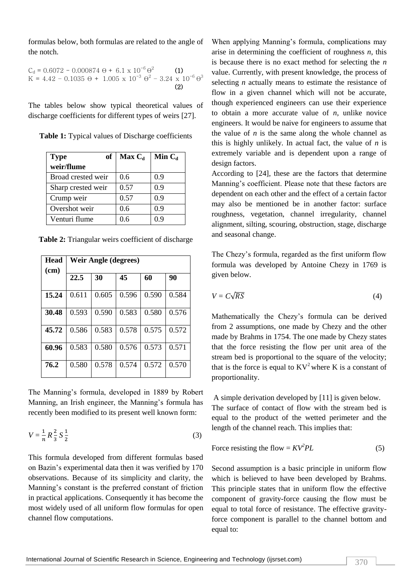formulas below, both formulas are related to the angle of the notch.

$$
C_d = 0.6072 - 0.000874 \Theta + 6.1 \times 10^{-6} \Theta^2
$$
  
(1)  
K = 4.42 - 0.1035 \Theta + 1.005 x 10<sup>-3</sup> \Theta<sup>2</sup> - 3.24 x 10<sup>-6</sup> \Theta<sup>3</sup>  
(2)

The tables below show typical theoretical values of discharge coefficients for different types of weirs [27].

|  |  |  | Table 1: Typical values of Discharge coefficients |  |
|--|--|--|---------------------------------------------------|--|
|--|--|--|---------------------------------------------------|--|

| of<br><b>Type</b>  | $Max C_d$ | Min $C_d$ |
|--------------------|-----------|-----------|
| weir/flume         |           |           |
| Broad crested weir | 0.6       | 0.9       |
| Sharp crested weir | 0.57      | 0.9       |
| Crump weir         | 0.57      | 0.9       |
| Overshot weir      | 0.6       | 0.9       |
| Venturi flume      | 0.6       | 0.9       |

|  |  |  |  | Table 2: Triangular weirs coefficient of discharge |  |  |
|--|--|--|--|----------------------------------------------------|--|--|
|--|--|--|--|----------------------------------------------------|--|--|

| <b>Head</b><br>(cm) | <b>Weir Angle (degrees)</b> |       |       |       |       |
|---------------------|-----------------------------|-------|-------|-------|-------|
|                     | 22.5                        | 30    | 45    | 60    | 90    |
| 15.24               | 0.611                       | 0.605 | 0.596 | 0.590 | 0.584 |
| 30.48               | 0.593                       | 0.590 | 0.583 | 0.580 | 0.576 |
| 45.72               | 0.586                       | 0.583 | 0.578 | 0.575 | 0.572 |
| 60.96               | 0.583                       | 0.580 | 0.576 | 0.573 | 0.571 |
| 76.2                | 0.580                       | 0.578 | 0.574 | 0.572 | 0.570 |

The Manning's formula, developed in 1889 by Robert Manning, an Irish engineer, the Manning's formula has recently been modified to its present well known form:

$$
V = \frac{1}{n} R \frac{2}{3} S \frac{1}{2}
$$
 (3)

This formula developed from different formulas based on Bazin's experimental data then it was verified by 170 observations. Because of its simplicity and clarity, the Manning's constant is the preferred constant of friction in practical applications. Consequently it has become the most widely used of all uniform flow formulas for open channel flow computations.

When applying Manning's formula, complications may arise in determining the coefficient of roughness *n*, this is because there is no exact method for selecting the *n* value. Currently, with present knowledge, the process of selecting *n* actually means to estimate the resistance of flow in a given channel which will not be accurate, though experienced engineers can use their experience to obtain a more accurate value of *n*, unlike novice engineers. It would be naive for engineers to assume that the value of  $n$  is the same along the whole channel as this is highly unlikely. In actual fact, the value of *n* is extremely variable and is dependent upon a range of design factors.

According to [24], these are the factors that determine Manning's coefficient. Please note that these factors are dependent on each other and the effect of a certain factor may also be mentioned be in another factor: surface roughness, vegetation, channel irregularity, channel alignment, silting, scouring, obstruction, stage, discharge and seasonal change.

The Chezy's formula, regarded as the first uniform flow formula was developed by Antoine Chezy in 1769 is given below.

$$
V = C\sqrt{RS} \tag{4}
$$

Mathematically the Chezy's formula can be derived from 2 assumptions, one made by Chezy and the other made by Brahms in 1754. The one made by Chezy states that the force resisting the flow per unit area of the stream bed is proportional to the square of the velocity; that is the force is equal to  $KV^2$  where K is a constant of proportionality.

A simple derivation developed by [11] is given below. The surface of contact of flow with the stream bed is equal to the product of the wetted perimeter and the length of the channel reach. This implies that:

Force resisting the flow = 
$$
KV^2PL
$$
 (5)

Second assumption is a basic principle in uniform flow which is believed to have been developed by Brahms. This principle states that in uniform flow the effective component of gravity-force causing the flow must be equal to total force of resistance. The effective gravityforce component is parallel to the channel bottom and equal to: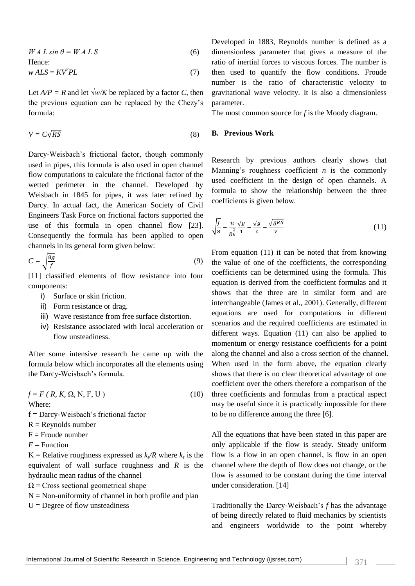$$
W A L \sin \theta = W A L S \tag{6}
$$

Hence:

 $WALS = KV^2PL$  (7)

Let  $A/P = R$  and let  $\sqrt{W/K}$  be replaced by a factor *C*, then the previous equation can be replaced by the Chezy's formula:

$$
V = C\sqrt{RS} \tag{8}
$$

Darcy-Weisbach's frictional factor, though commonly used in pipes, this formula is also used in open channel flow computations to calculate the frictional factor of the wetted perimeter in the channel. Developed by Weisbach in 1845 for pipes, it was later refined by Darcy. In actual fact, the American Society of Civil Engineers Task Force on frictional factors supported the use of this formula in open channel flow [23]. Consequently the formula has been applied to open channels in its general form given below:

$$
C = \sqrt{\frac{8g}{f}}
$$
 (9)

[11] classified elements of flow resistance into four components:

- i) Surface or skin friction.
- ii) Form resistance or drag.
- iii) Wave resistance from free surface distortion.
- iv) Resistance associated with local acceleration or flow unsteadiness.

After some intensive research he came up with the formula below which incorporates all the elements using the Darcy-Weisbach's formula.

 $f = F (R, K, \Omega, N, F, U)$  (10) Where: f = Darcy-Weisbach's frictional factor

- $R =$  Reynolds number
- $F =$  Froude number
- $F =$ Function

K = Relative roughness expressed as  $k_s/R$  where  $k_s$  is the equivalent of wall surface roughness and *R* is the hydraulic mean radius of the channel

- $\Omega$  = Cross sectional geometrical shape
- $N = Non-uniformity of channel in both profile and plan$
- $U =$ Degree of flow unsteadiness

Developed in 1883, Reynolds number is defined as a dimensionless parameter that gives a measure of the ratio of inertial forces to viscous forces. The number is then used to quantify the flow conditions. Froude number is the ratio of characteristic velocity to gravitational wave velocity. It is also a dimensionless parameter.

The most common source for *f* is the Moody diagram.

## **B. Previous Work**

Research by previous authors clearly shows that Manning's roughness coefficient *n* is the commonly used coefficient in the design of open channels. A formula to show the relationship between the three coefficients is given below.

$$
\sqrt{\frac{f}{8}} = \frac{n}{R^{\frac{1}{6}}} \frac{\sqrt{g}}{1} = \frac{\sqrt{g}}{c} = \frac{\sqrt{gRS}}{V}
$$
\n(11)

From equation (11) it can be noted that from knowing the value of one of the coefficients, the corresponding coefficients can be determined using the formula. This equation is derived from the coefficient formulas and it shows that the three are in similar form and are interchangeable (James et al., 2001). Generally, different equations are used for computations in different scenarios and the required coefficients are estimated in different ways. Equation (11) can also be applied to momentum or energy resistance coefficients for a point along the channel and also a cross section of the channel. When used in the form above, the equation clearly shows that there is no clear theoretical advantage of one coefficient over the others therefore a comparison of the three coefficients and formulas from a practical aspect may be useful since it is practically impossible for there to be no difference among the three [6].

All the equations that have been stated in this paper are only applicable if the flow is steady. Steady uniform flow is a flow in an open channel, is flow in an open channel where the depth of flow does not change, or the flow is assumed to be constant during the time interval under consideration. [14]

Traditionally the Darcy-Weisbach's *f* has the advantage of being directly related to fluid mechanics by scientists and engineers worldwide to the point whereby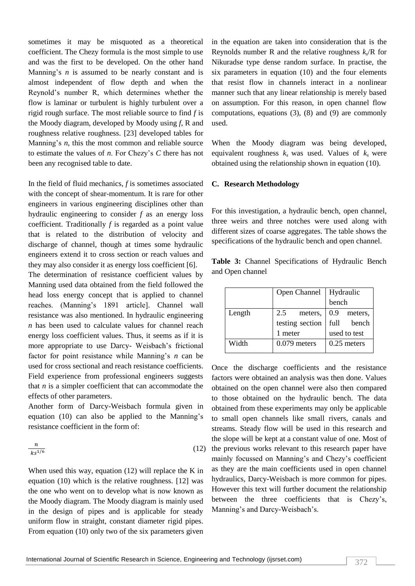sometimes it may be misquoted as a theoretical coefficient. The Chezy formula is the most simple to use and was the first to be developed. On the other hand Manning's *n* is assumed to be nearly constant and is almost independent of flow depth and when the Reynold's number R, which determines whether the flow is laminar or turbulent is highly turbulent over a rigid rough surface. The most reliable source to find *f* is the Moody diagram, developed by Moody using *f*, R and roughness relative roughness. [23] developed tables for Manning's *n*, this the most common and reliable source to estimate the values of *n*. For Chezy's *C* there has not been any recognised table to date.

In the field of fluid mechanics, *f* is sometimes associated with the concept of shear-momentum. It is rare for other engineers in various engineering disciplines other than hydraulic engineering to consider *f* as an energy loss coefficient. Traditionally *f* is regarded as a point value that is related to the distribution of velocity and discharge of channel, though at times some hydraulic engineers extend it to cross section or reach values and they may also consider it as energy loss coefficient [6].

The determination of resistance coefficient values by Manning used data obtained from the field followed the head loss energy concept that is applied to channel reaches. (Manning's 1891 article]. Channel wall resistance was also mentioned. In hydraulic engineering *n* has been used to calculate values for channel reach energy loss coefficient values. Thus, it seems as if it is more appropriate to use Darcy- Weisbach's frictional factor for point resistance while Manning's *n* can be used for cross sectional and reach resistance coefficients. Field experience from professional engineers suggests that *n* is a simpler coefficient that can accommodate the effects of other parameters.

Another form of Darcy-Weisbach formula given in equation (10) can also be applied to the Manning's resistance coefficient in the form of:

$$
\frac{n}{ks^{1/6}}\tag{12}
$$

When used this way, equation (12) will replace the K in equation (10) which is the relative roughness. [12] was the one who went on to develop what is now known as the Moody diagram. The Moody diagram is mainly used in the design of pipes and is applicable for steady uniform flow in straight, constant diameter rigid pipes. From equation (10) only two of the six parameters given in the equation are taken into consideration that is the Reynolds number R and the relative roughness *k<sup>s</sup>* /R for Nikuradse type dense random surface. In practise, the six parameters in equation (10) and the four elements that resist flow in channels interact in a nonlinear manner such that any linear relationship is merely based on assumption. For this reason, in open channel flow computations, equations (3), (8) and (9) are commonly used.

When the Moody diagram was being developed, equivalent roughness  $k_s$  was used. Values of  $k_s$  were obtained using the relationship shown in equation (10).

#### **C. Research Methodology**

For this investigation, a hydraulic bench, open channel, three weirs and three notches were used along with different sizes of coarse aggregates. The table shows the specifications of the hydraulic bench and open channel.

**Table 3:** Channel Specifications of Hydraulic Bench and Open channel

|        | Open Channel    | Hydraulic    |  |
|--------|-----------------|--------------|--|
|        |                 | bench        |  |
| Length | 2.5<br>meters,  | 0.9 meters,  |  |
|        | testing section | full bench   |  |
|        | 1 meter         | used to test |  |
| Width  | $0.079$ meters  | 0.25 meters  |  |

Once the discharge coefficients and the resistance factors were obtained an analysis was then done. Values obtained on the open channel were also then compared to those obtained on the hydraulic bench. The data obtained from these experiments may only be applicable to small open channels like small rivers, canals and streams. Steady flow will be used in this research and the slope will be kept at a constant value of one. Most of ) the previous works relevant to this research paper have mainly focussed on Manning's and Chezy's coefficient as they are the main coefficients used in open channel hydraulics, Darcy-Weisbach is more common for pipes. However this text will further document the relationship between the three coefficients that is Chezy's, Manning's and Darcy-Weisbach's.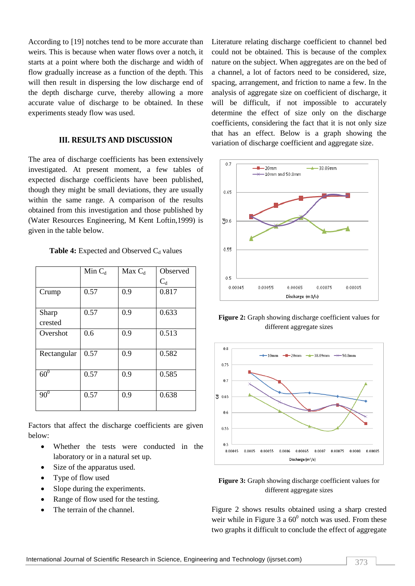According to [19] notches tend to be more accurate than weirs. This is because when water flows over a notch, it starts at a point where both the discharge and width of flow gradually increase as a function of the depth. This will then result in dispersing the low discharge end of the depth discharge curve, thereby allowing a more accurate value of discharge to be obtained. In these experiments steady flow was used.

#### **III. RESULTS AND DISCUSSION**

The area of discharge coefficients has been extensively investigated. At present moment, a few tables of expected discharge coefficients have been published, though they might be small deviations, they are usually within the same range. A comparison of the results obtained from this investigation and those published by (Water Resources Engineering, M Kent Loftin,1999) is given in the table below.

#### **Table 4:** Expected and Observed  $C_d$  values

|                  | Min $C_d$ | $Max C_d$ | Observed<br>$C_d$ |
|------------------|-----------|-----------|-------------------|
| Crump            | 0.57      | 0.9       | 0.817             |
| Sharp<br>crested | 0.57      | 0.9       | 0.633             |
| Overshot         | 0.6       | 0.9       | 0.513             |
| Rectangular      | 0.57      | 0.9       | 0.582             |
| 60 <sup>0</sup>  | 0.57      | 0.9       | 0.585             |
| $90^{0}$         | 0.57      | 0.9       | 0.638             |

Factors that affect the discharge coefficients are given below:

- Whether the tests were conducted in the laboratory or in a natural set up.
- Size of the apparatus used.
- Type of flow used
- Slope during the experiments.
- Range of flow used for the testing.
- The terrain of the channel.

Literature relating discharge coefficient to channel bed could not be obtained. This is because of the complex nature on the subject. When aggregates are on the bed of a channel, a lot of factors need to be considered, size, spacing, arrangement, and friction to name a few. In the analysis of aggregate size on coefficient of discharge, it will be difficult, if not impossible to accurately determine the effect of size only on the discharge coefficients, considering the fact that it is not only size that has an effect. Below is a graph showing the variation of discharge coefficient and aggregate size.



**Figure 2:** Graph showing discharge coefficient values for different aggregate sizes



**Figure 3:** Graph showing discharge coefficient values for different aggregate sizes

Figure 2 shows results obtained using a sharp crested weir while in Figure 3 a  $60^{\circ}$  notch was used. From these two graphs it difficult to conclude the effect of aggregate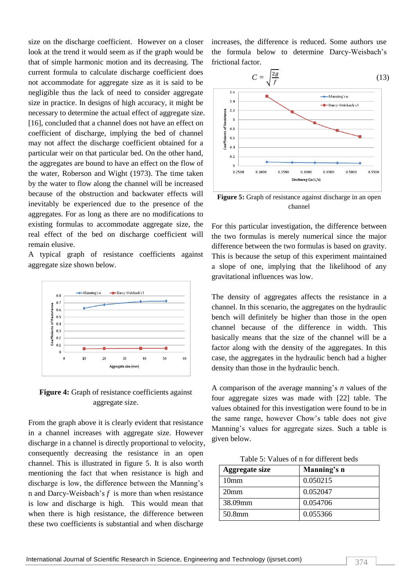size on the discharge coefficient. However on a closer look at the trend it would seem as if the graph would be that of simple harmonic motion and its decreasing. The current formula to calculate discharge coefficient does not accommodate for aggregate size as it is said to be negligible thus the lack of need to consider aggregate size in practice. In designs of high accuracy, it might be necessary to determine the actual effect of aggregate size. [16], concluded that a channel does not have an effect on coefficient of discharge, implying the bed of channel may not affect the discharge coefficient obtained for a particular weir on that particular bed. On the other hand, the aggregates are bound to have an effect on the flow of the water, Roberson and Wight (1973). The time taken by the water to flow along the channel will be increased because of the obstruction and backwater effects will inevitably be experienced due to the presence of the aggregates. For as long as there are no modifications to existing formulas to accommodate aggregate size, the real effect of the bed on discharge coefficient will remain elusive.

A typical graph of resistance coefficients against aggregate size shown below.



**Figure 4:** Graph of resistance coefficients against aggregate size.

From the graph above it is clearly evident that resistance in a channel increases with aggregate size. However discharge in a channel is directly proportional to velocity, consequently decreasing the resistance in an open channel. This is illustrated in figure 5. It is also worth mentioning the fact that when resistance is high and discharge is low, the difference between the Manning's n and Darcy-Weisbach's *f* is more than when resistance is low and discharge is high. This would mean that when there is high resistance, the difference between these two coefficients is substantial and when discharge

increases, the difference is reduced. Some authors use the formula below to determine Darcy-Weisbach's frictional factor.



**Figure 5:** Graph of resistance against discharge in an open channel

For this particular investigation, the difference between the two formulas is merely numerical since the major difference between the two formulas is based on gravity. This is because the setup of this experiment maintained a slope of one, implying that the likelihood of any gravitational influences was low.

The density of aggregates affects the resistance in a channel. In this scenario, the aggregates on the hydraulic bench will definitely be higher than those in the open channel because of the difference in width. This basically means that the size of the channel will be a factor along with the density of the aggregates. In this case, the aggregates in the hydraulic bench had a higher density than those in the hydraulic bench.

A comparison of the average manning's *n* values of the four aggregate sizes was made with [22] table. The values obtained for this investigation were found to be in the same range, however Chow's table does not give Manning's values for aggregate sizes. Such a table is given below.

Table 5: Values of n for different beds

| <b>Aggregate size</b> | Manning's n |
|-----------------------|-------------|
| 10mm                  | 0.050215    |
| 20 <sub>mm</sub>      | 0.052047    |
| 38.09mm               | 0.054706    |
| 50.8mm                | 0.055366    |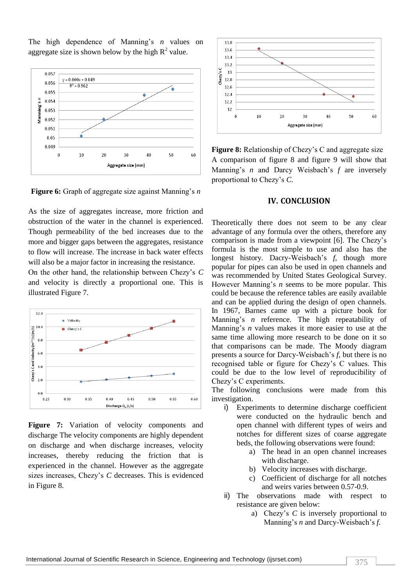The high dependence of Manning's *n* values on aggregate size is shown below by the high  $R^2$  value.



**Figure 6:** Graph of aggregate size against Manning's *n*

As the size of aggregates increase, more friction and obstruction of the water in the channel is experienced. Though permeability of the bed increases due to the more and bigger gaps between the aggregates, resistance to flow will increase. The increase in back water effects will also be a major factor in increasing the resistance.

On the other hand, the relationship between Chezy's *C*  and velocity is directly a proportional one. This is illustrated Figure 7.



**Figure 7:** Variation of velocity components and discharge The velocity components are highly dependent on discharge and when discharge increases, velocity increases, thereby reducing the friction that is experienced in the channel. However as the aggregate sizes increases, Chezy's *C* decreases. This is evidenced in Figure 8.



**Figure 8:** Relationship of Chezy's C and aggregate size A comparison of figure 8 and figure 9 will show that Manning's *n* and Darcy Weisbach's *f* are inversely proportional to Chezy's *C.*

#### **IV. CONCLUSION**

Theoretically there does not seem to be any clear advantage of any formula over the others, therefore any comparison is made from a viewpoint [6]. The Chezy's formula is the most simple to use and also has the longest history. Dacry-Weisbach's *f*, though more popular for pipes can also be used in open channels and was recommended by United States Geological Survey. However Manning's *n* seems to be more popular. This could be because the reference tables are easily available and can be applied during the design of open channels. In 1967, Barnes came up with a picture book for Manning's *n* reference. The high repeatability of Manning's *n* values makes it more easier to use at the same time allowing more research to be done on it so that comparisons can be made. The Moody diagram presents a source for Darcy-Weisbach's *f*, but there is no recognised table or figure for Chezy's C values. This could be due to the low level of reproducibility of Chezy's C experiments.

The following conclusions were made from this investigation.

- i) Experiments to determine discharge coefficient were conducted on the hydraulic bench and open channel with different types of weirs and notches for different sizes of coarse aggregate beds, the following observations were found:
	- a) The head in an open channel increases with discharge.
	- b) Velocity increases with discharge.
	- c) Coefficient of discharge for all notches and weirs varies between 0.57-0.9.
- ii) The observations made with respect to resistance are given below:
	- a) Chezy's *C* is inversely proportional to Manning's *n* and Darcy-Weisbach's *f.*